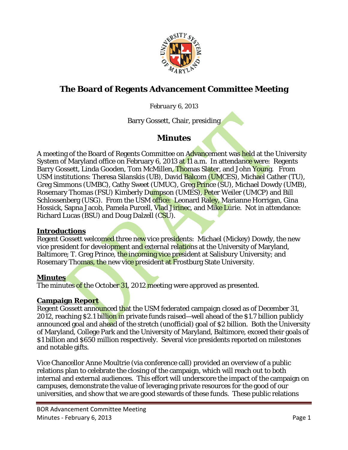

# **The Board of Regents Advancement Committee Meeting**

#### *February 6, 2013*

Barry Gossett, Chair, presiding

## **Minutes**

A meeting of the Board of Regents Committee on Advancement was held at the University System of Maryland office on February 6, 2013 at 11 a.m. In attendance were: Regents Barry Gossett, Linda Gooden, Tom McMillen, Thomas Slater, and John Young. From USM institutions: Theresa Silanskis (UB), David Balcom (UMCES), Michael Cather (TU), Greg Simmons (UMBC), Cathy Sweet (UMUC), Greg Prince (SU), Michael Dowdy (UMB), Rosemary Thomas (FSU) Kimberly Dumpson (UMES), Peter Weiler (UMCP) and Bill Schlossenberg (USG). From the USM office: Leonard Raley, Marianne Horrigan, Gina Hossick, Sapna Jacob, Pamela Purcell, Vlad Jirinec, and Mike Lurie. Not in attendance: Richard Lucas (BSU) and Doug Dalzell (CSU).

#### **Introductions**

Regent Gossett welcomed three new vice presidents: Michael (Mickey) Dowdy, the new vice president for development and external relations at the University of Maryland, Baltimore; T. Greg Prince, the incoming vice president at Salisbury University; and Rosemary Thomas, the new vice president at Frostburg State University.

#### **Minutes**

The minutes of the October 31, 2012 meeting were approved as presented.

#### **Campaign Report**

Regent Gossett announced that the USM federated campaign closed as of December 31, 2012, reaching \$2.1 billion in private funds raised—well ahead of the \$1.7 billion publicly announced goal and ahead of the stretch (unofficial) goal of \$2 billion. Both the University of Maryland, College Park and the University of Maryland, Baltimore, exceed their goals of \$1 billion and \$650 million respectively. Several vice presidents reported on milestones and notable gifts.

Vice Chancellor Anne Moultrie (via conference call) provided an overview of a public relations plan to celebrate the closing of the campaign, which will reach out to both internal and external audiences. This effort will underscore the impact of the campaign on campuses, demonstrate the value of leveraging private resources for the good of our universities, and show that we are good stewards of these funds. These public relations